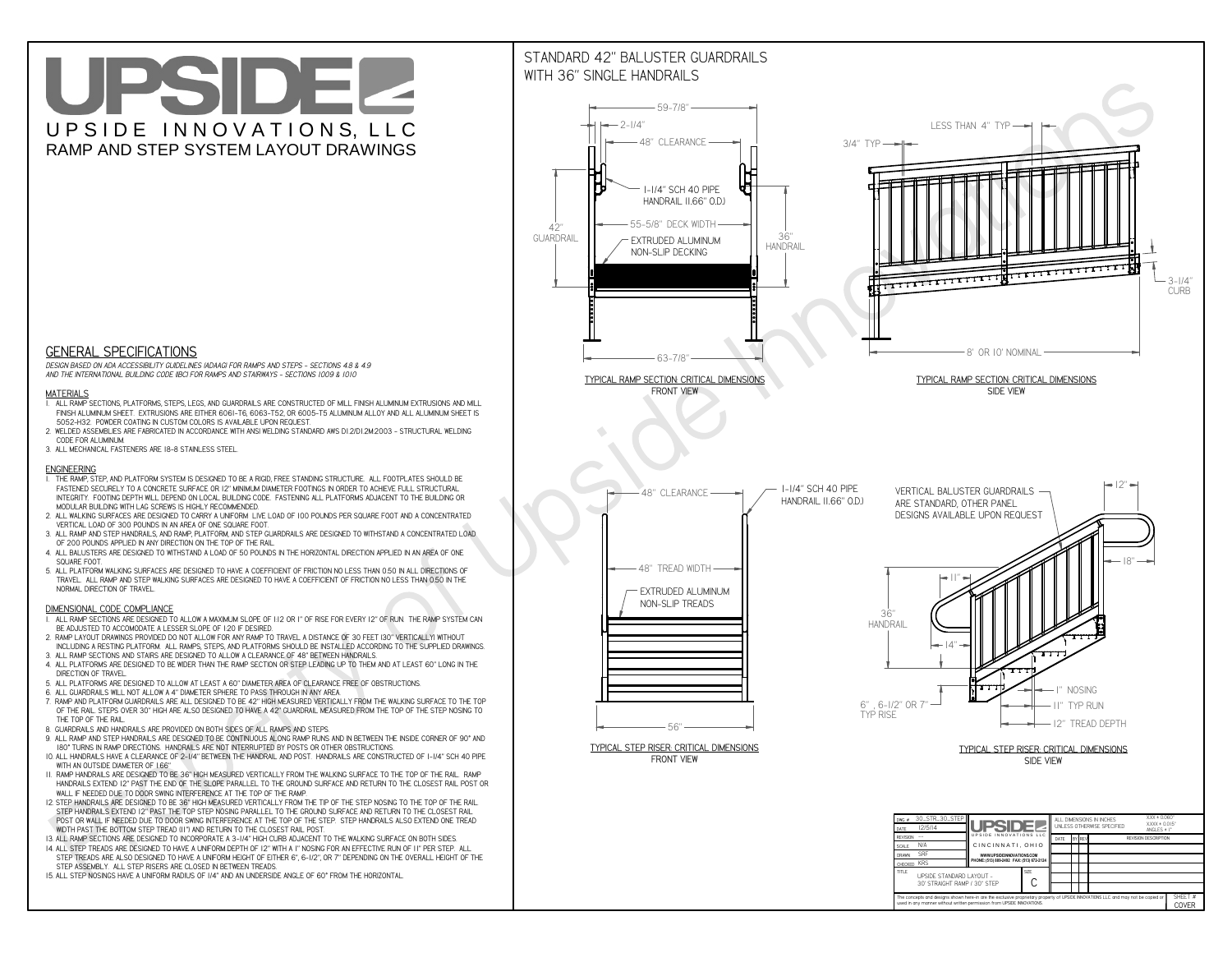# UPSIDEL UPSIDE INNOVATIONS, LLC RAMP AND STEP SYSTEM LAYOUT DRAWINGS



 *DESIGN BASED ON ADA ACCESSIBILITY GUIDELINES (ADAAG) FOR RAMPS AND STEPS - SECTIONS 4.8 & 4.9AND THE INTERNATIONAL BUILDING CODE (IBC) FOR RAMPS AND STAIRWAYS - SECTIONS 1009 & 1010*

#### **MATERIALS**

- **1. ALL RAMP SECTIONS, PLATFORMS, STEPS, LEGS, AND GUARDRAILS ARE CONSTRUCTED OF MILL FINISH ALUMINUM EXTRUSIONS AND MILL FINISH ALUMINUM SHEET. EXTRUSIONS ARE EITHER 6061-T6, 6063-T52, OR 6005-T5 ALUMINUM ALLOY AND ALL ALUMINUM SHEET IS 5052-H32. POWDER COATING IN CUSTOM COLORS IS AVAILABLE UPON REQUEST.**
- **2. WELDED ASSEMBLIES ARE FABRICATED IN ACCORDANCE WITH ANSI WELDING STANDARD AWS D1.2/D1.2M:2003 STRUCTURAL WELDING CODE FOR ALUMINUM.**
- **3. ALL MECHANICAL FASTENERS ARE 18-8 STAINLESS STEEL.**

#### **ENGINEERING**

- **1. THE RAMP, STEP, AND PLATFORM SYSTEM IS DESIGNED TO BE A RIGID, FREE STANDING STRUCTURE. ALL FOOTPLATES SHOULD BE FASTENED SECURELY TO A CONCRETE SURFACE OR 12" MINIMUM DIAMETER FOOTINGS IN ORDER TO ACHIEVE FULL STRUCTURAL INTEGRITY. FOOTING DEPTH WILL DEPEND ON LOCAL BUILDING CODE. FASTENING ALL PLATFORMS ADJACENT TO THE BUILDING OR MODULAR BUILDING WITH LAG SCREWS IS HIGHLY RECOMMENDED.**
- **2. ALL WALKING SURFACES ARE DESIGNED TO CARRY A UNIFORM LIVE LOAD OF 100 POUNDS PER SQUARE FOOT AND A CONCENTRATED VERTICAL LOAD OF 300 POUNDS IN AN AREA OF ONE SQUARE FOOT.**
- **3. ALL RAMP AND STEP HANDRAILS, AND RAMP, PLATFORM, AND STEP GUARDRAILS ARE DESIGNED TO WITHSTAND A CONCENTRATED LOAD OF 200 POUNDS APPLIED IN ANY DIRECTION ON THE TOP OF THE RAIL.**
- **4. ALL BALUSTERS ARE DESIGNED TO WITHSTAND A LOAD OF 50 POUNDS IN THE HORIZONTAL DIRECTION APPLIED IN AN AREA OF ONE SQUARE FOOT.**
- **5. ALL PLATFORM WALKING SURFACES ARE DESIGNED TO HAVE A COEFFICIENT OF FRICTION NO LESS THAN 0.50 IN ALL DIRECTIONS OF TRAVEL. ALL RAMP AND STEP WALKING SURFACES ARE DESIGNED TO HAVE A COEFFICIENT OF FRICTION NO LESS THAN 0.50 IN THE NORMAL DIRECTION OF TRAVEL.**

### **DIMENSIONAL CODE COMPLIANCE**



- **1. ALL RAMP SECTIONS ARE DESIGNED TO ALLOW A MAXIMUM SLOPE OF 1:12 OR 1" OF RISE FOR EVERY 12" OF RUN. THE RAMP SYSTEM CAN BE ADJUSTED TO ACCOMODATE A LESSER SLOPE OF 1:20 IF DESIRED.**
- **2. RAMP LAYOUT DRAWINGS PROVIDED DO NOT ALLOW FOR ANY RAMP TO TRAVEL A DISTANCE OF 30 FEET (30" VERTICALLY) WITHOUT INCLUDING A RESTING PLATFORM. ALL RAMPS, STEPS, AND PLATFORMS SHOULD BE INSTALLED ACCORDING TO THE SUPPLIED DRAWINGS.**
- **3. ALL RAMP SECTIONS AND STAIRS ARE DESIGNED TO ALLOW A CLEARANCE OF 48" BETWEEN HANDRAILS.**
- **4. ALL PLATFORMS ARE DESIGNED TO BE WIDER THAN THE RAMP SECTION OR STEP LEADING UP TO THEM AND AT LEAST 60" LONG IN THE DIRECTION OF TRAVEL.**
- **5. ALL PLATFORMS ARE DESIGNED TO ALLOW AT LEAST A 60" DIAMETER AREA OF CLEARANCE FREE OF OBSTRUCTIONS.**
- **6. ALL GUARDRAILS WILL NOT ALLOW A 4" DIAMETER SPHERE TO PASS THROUGH IN ANY AREA.**
- **7. RAMP AND PLATFORM GUARDRAILS ARE ALL DESIGNED TO BE 42" HIGH MEASURED VERTICALLY FROM THE WALKING SURFACE TO THE TOP OF THE RAIL. STEPS OVER 30" HIGH ARE ALSO DESIGNED TO HAVE A 42" GUARDRAIL MEASURED FROM THE TOP OF THE STEP NOSING TO THE TOP OF THE RAIL.**
- **8. GUARDRAILS AND HANDRAILS ARE PROVIDED ON BOTH SIDES OF ALL RAMPS AND STEPS.**
- **9. ALL RAMP AND STEP HANDRAILS ARE DESIGNED TO BE CONTINUOUS ALONG RAMP RUNS AND IN BETWEEN THE INSIDE CORNER OF 90° AND 180° TURNS IN RAMP DIRECTIONS. HANDRAILS ARE NOT INTERRUPTED BY POSTS OR OTHER OBSTRUCTIONS.**
- **10. ALL HANDRAILS HAVE A CLEARANCE OF 2-1/4" BETWEEN THE HANDRAIL AND POST. HANDRAILS ARE CONSTRUCTED OF 1-1/4" SCH 40 PIPE WITH AN OUTSIDE DIAMETER OF 1.66"**
- **11. RAMP HANDRAILS ARE DESIGNED TO BE 36" HIGH MEASURED VERTICALLY FROM THE WALKING SURFACE TO THE TOP OF THE RAIL. RAMP HANDRAILS EXTEND 12" PAST THE END OF THE SLOPE PARALLEL TO THE GROUND SURFACE AND RETURN TO THE CLOSEST RAIL POST OR WALL IF NEEDED DUE TO DOOR SWING INTERFERENCE AT THE TOP OF THE RAMP.**
- **12. STEP HANDRAILS ARE DESIGNED TO BE 36" HIGH MEASURED VERTICALLY FROM THE TIP OF THE STEP NOSING TO THE TOP OF THE RAIL. STEP HANDRAILS EXTEND 12" PAST THE TOP STEP NOSING PARALLEL TO THE GROUND SURFACE AND RETURN TO THE CLOSEST RAIL POST OR WALL IF NEEDED DUE TO DOOR SWING INTERFERENCE AT THE TOP OF THE STEP. STEP HANDRAILS ALSO EXTEND ONE TREAD**
- **WIDTH PAST THE BOTTOM STEP TREAD (11") AND RETURN TO THE CLOSEST RAIL POST.**
- **13. ALL RAMP SECTIONS ARE DESIGNED TO INCORPORATE A 3-1/4" HIGH CURB ADJACENT TO THE WALKING SURFACE ON BOTH SIDES.**
- **14. ALL STEP TREADS ARE DESIGNED TO HAVE A UNIFORM DEPTH OF 12" WITH A 1" NOSING FOR AN EFFECTIVE RUN OF 11" PER STEP. ALL STEP TREADS ARE ALSO DESIGNED TO HAVE A UNIFORM HEIGHT OF EITHER 6", 6-1/2", OR 7" DEPENDING ON THE OVERALL HEIGHT OF THE STEP ASSEMBLY. ALL STEP RISERS ARE CLOSED IN BETWEEN TREADS.**
- **15. ALL STEP NOSINGS HAVE A UNIFORM RADIUS OF 1/4" AND AN UNDERSIDE ANGLE OF 60° FROM THE HORIZONTAL.**

## STANDARD 42" BALUSTER GUARDRAILSWITH 36" SINGLE HANDRAILS